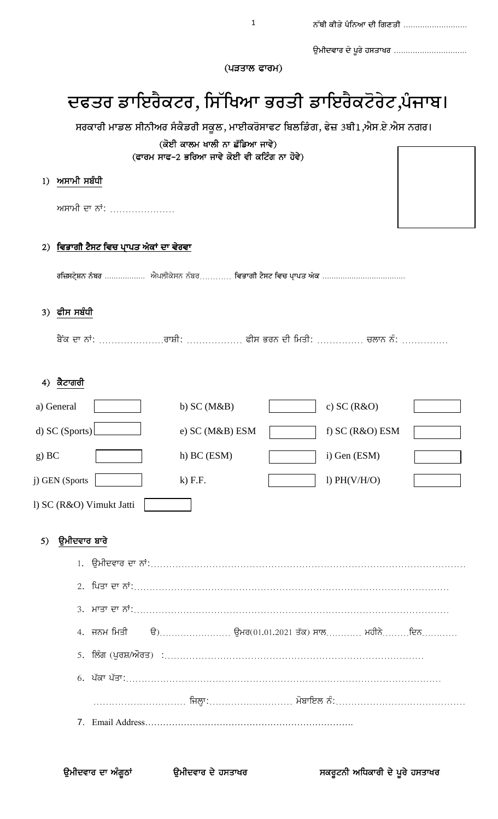|  |  | ਨੱਥੀ ਕੀਤੇ ਪੰਨਿਆ ਦੀ ਗਿਣਤੀ |
|--|--|--------------------------|
|  |  |                          |

ਉਮੀਦਵਾਰ ਦੇ ਪੂਰੇ ਹਸਤਾਖਰ ..............................

 $($ ਪੜਤਾਲ ਫਾਰਮ $)$ 

# ਦਫਤਰ ਡਾਇਰੈਕਟਰ, ਸਿੱਖਿਆ ਭਰਤੀ ਡਾਇਰੈਕਟੋਰੇਟ,ਪੰਜਾਬ।

|       |                |                          |                                              | ਸਰਕਾਰੀ ਮਾਡਲ ਸੀਨੀਅਰ ਸੰਕੈਡਰੀ ਸਕੂਲ, ਮਾਈਕਰੋਸਾਫਟ ਬਿਲਡਿੰਗ, ਫੇਜ਼ 3ਬੀ1,ਐਸ.ਏ.ਐਸ ਨਗਰ।  |  |                 |  |  |  |  |
|-------|----------------|--------------------------|----------------------------------------------|------------------------------------------------------------------------------|--|-----------------|--|--|--|--|
|       |                |                          |                                              | (ਕੋਈ ਕਾਲਮ ਖਾਲੀ ਨਾ ਛੱਡਿਆ ਜਾਵੇ)<br>(ਫਾਰਮ ਸਾਫ-2 ਭਰਿਆ ਜਾਵੇ ਕੋਈ ਵੀ ਕਟਿੰਗ ਨਾ ਹੋਵੇ) |  |                 |  |  |  |  |
|       |                |                          |                                              |                                                                              |  |                 |  |  |  |  |
| 1)    | ਅਸਾਮੀ ਸਬੰਧੀ    |                          |                                              |                                                                              |  |                 |  |  |  |  |
|       |                |                          | ਅਸਾਮੀ ਦਾ ਨਾਂ:                                |                                                                              |  |                 |  |  |  |  |
| 2)    |                |                          | <u>ਵਿਭਾਗੀ ਟੈਸਟ ਵਿਚ ਪ੍ਰਾਪਤ ਅੰਕਾਂ ਦਾ ਵੇਰਵਾ</u> |                                                                              |  |                 |  |  |  |  |
|       |                |                          |                                              |                                                                              |  |                 |  |  |  |  |
|       | 3) ਫੀਸ ਸਬੰਧੀ   |                          |                                              |                                                                              |  |                 |  |  |  |  |
|       |                |                          |                                              | ਬੈਂਕ ਦਾ ਨਾਂ: ਰਾਸ਼ੀ:  ਫੀਸ ਭਰਨ ਦੀ ਮਿਤੀ:  ਚਲਾਨ ਨੰ:                              |  |                 |  |  |  |  |
|       | 4) ਕੈਟਾਗਰੀ     |                          |                                              |                                                                              |  |                 |  |  |  |  |
|       | a) General     |                          |                                              | b) $SC(M&B)$                                                                 |  | c) $SC(R&O)$    |  |  |  |  |
|       | d) SC (Sports) |                          |                                              | e) SC (M&B) ESM                                                              |  | f) SC (R&O) ESM |  |  |  |  |
| g) BC |                |                          |                                              | h) BC (ESM)                                                                  |  | i) Gen (ESM)    |  |  |  |  |
|       | j) GEN (Sports |                          |                                              | $k$ ) F.F.                                                                   |  | l) $PH(V/H/O)$  |  |  |  |  |
|       |                | l) SC (R&O) Vimukt Jatti |                                              |                                                                              |  |                 |  |  |  |  |
| 5)    | ਉਮੀਦਵਾਰ ਬਾਰੇ   |                          |                                              |                                                                              |  |                 |  |  |  |  |
|       |                |                          |                                              |                                                                              |  |                 |  |  |  |  |
|       |                |                          |                                              |                                                                              |  |                 |  |  |  |  |
|       |                |                          |                                              |                                                                              |  |                 |  |  |  |  |
|       |                | 4. ਜਨਮ ਮਿਤੀ              |                                              | <u>ਉ)</u> ਉਮਰ $(01.01.2021$ ਤੱਕ) ਸਾਲ ਮਹੀਨੇਵਿਨ                                |  |                 |  |  |  |  |
|       |                |                          |                                              | 5. ਲਿੰਗ (ਪੁਰਸ਼/ਔਰਤ) :………………………………………………………………………                             |  |                 |  |  |  |  |
|       |                |                          |                                              |                                                                              |  |                 |  |  |  |  |

7. Email Address…………………………………………………………….

………………………… ijlHw:……………………… mobwiel nM:……………………………………

1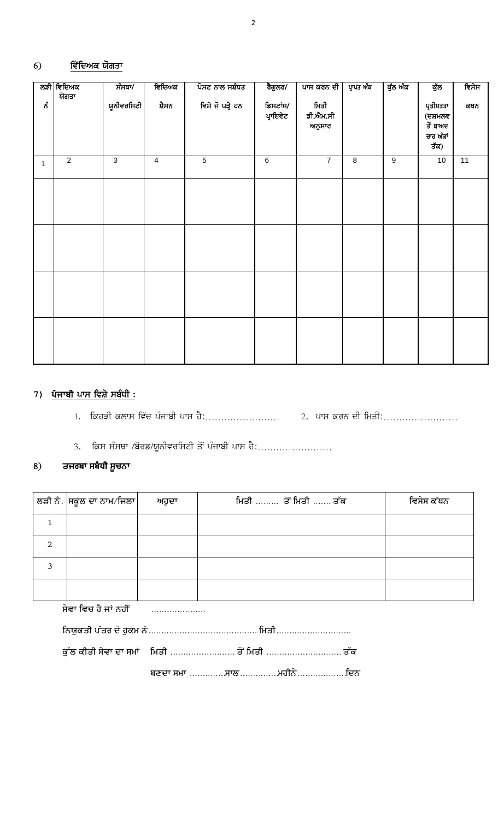#### <u>ਵਿੱਦਿਅਕ ਯੋਗਤਾ</u>  $6)$

|              | ਲੜੀ ਵਿਦਿਅਕ     | ਸੰਸਥਾ/                    | ਵਿਦਿਅਕ         | ਪੋਸਟ ਨਾਲ ਸਬੰਧਤ    | ਰੈਗੁਲਰ/              | ਪਾਸ ਕਰਨ ਦੀ                 | ਪ੍ਰਾਪਤ ਅੰਕ     | ਕੁੱਲ ਅੰਕ       | ਕੁੱਲ                                                   | ਵਿਸੇਸ |
|--------------|----------------|---------------------------|----------------|-------------------|----------------------|----------------------------|----------------|----------------|--------------------------------------------------------|-------|
| ಕೆ           | ਯੋਗਤਾ          | ਯੂਨੀਵਰਸਿਟੀ <mark> </mark> | ਸ਼ੈਸਨ          | ਵਿਸ਼ੇ ਜੋ ਪੜ੍ਹੇ ਹਨ | ਡਿਸਟਾਂਸ/<br>ਪ੍ਰਾਇਵੇਟ | ਮਿਤੀ<br>ਡੀ.ਐਮ.ਸੀ<br>ਅਨੁਸਾਰ |                |                | ਪ੍ਰਤੀਸ਼ਤਤਾ<br>(ਦਸ਼ਮਲਵ<br>ਤੋਂ ਬਾਅਦ<br>ਚਾਰ ਅੰਕਾਂ<br>ਤੱਕ) | ਕਥਨ   |
| $\mathbf{1}$ | $\overline{2}$ | $\overline{\omega}$       | $\overline{4}$ | $\overline{5}$    | $\overline{6}$       | $\overline{7}$             | $\overline{8}$ | $\overline{9}$ | 10                                                     | 11    |
|              |                |                           |                |                   |                      |                            |                |                |                                                        |       |
|              |                |                           |                |                   |                      |                            |                |                |                                                        |       |
|              |                |                           |                |                   |                      |                            |                |                |                                                        |       |
|              |                |                           |                |                   |                      |                            |                |                |                                                        |       |

## 7) <mark>ਪੰਜਾਬੀ ਪਾਸ ਵਿਸ਼ੇ ਸਬੰਧੀ :</mark>

3. ਕਿਸ ਸੰਸਥਾ /ਬੋਰਡ/ਯੂਨੀਵਰਸਿਟੀ ਤੋਂ ਪੰਜਾਬੀ ਪਾਸ ਹੈ:........................

#### ਤਜਰਬਾ ਸਬੰਧੀ ਸੂਚਨਾ 8)

|               | $\frac{1}{2}$ ਲੜੀ ਨੰ $\frac{1}{2}$ ਸਕੂਲ ਦਾ ਨਾਮ $\frac{1}{2}$ ਜਿਲਾ $\frac{1}{2}$ | ਅਹੁਦਾ | ਸਿਤੀ  ਤੋਂ ਮਿਤੀ  ਤੱਕ | ਵਿਸੇਸ ਕੱਥਨ |
|---------------|---------------------------------------------------------------------------------|-------|---------------------|------------|
|               |                                                                                 |       |                     |            |
| $\mathcal{P}$ |                                                                                 |       |                     |            |
|               |                                                                                 |       |                     |            |
|               |                                                                                 |       |                     |            |

ਸੇਵਾ ਵਿਚ ਹੈ ਜਾਂ ਨਹੀਂ .....................

| ਕੱਲ ਕੀਤੀ ਸੇਵਾ ਦਾ ਸਮਾਂ    ਮਿਤੀ  ਤੋਂ ਮਿਤੀ  ਤੱਕ |  |  |  |
|----------------------------------------------|--|--|--|
| ਬਣਦਾ ਸਮਾ ਸਾਲਮਹੀਨੇਵਿਨ                         |  |  |  |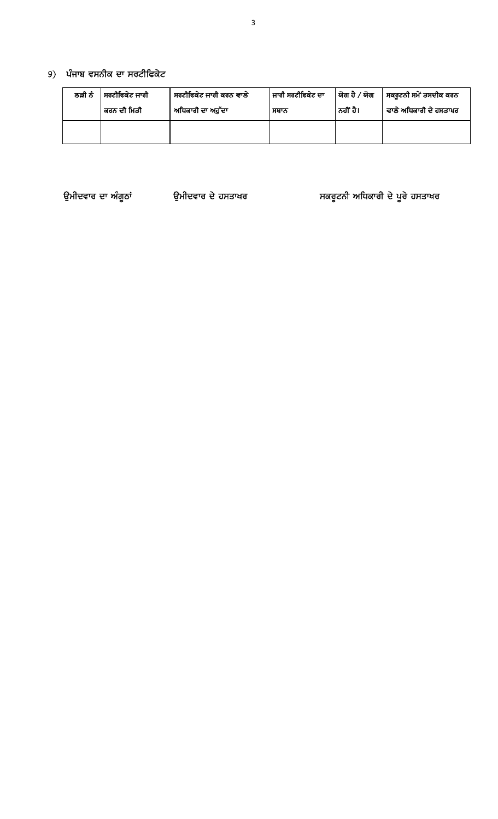## 9) ਪੰਜਾਬ ਵਸਨੀਕ ਦਾ ਸਰਟੀਫਿਕੇਟ

| ਲੜੀ ਨੰ | ਸਰਟੀਫਿਕੇਟ ਜਾਰੀ<br>ਕਰਨ ਦੀ ਮਿਤੀ | ਜਾਰੀ ਸਰਟੀਫਿਕੇਟ ਦਾ<br>ਸਰਟੀਫਿਕੇਟ ਜਾਰੀ ਕਰਨ ਵਾਲੇ<br>ਅਧਿਕਾਰੀ ਦਾ ਅਹੁੱਦਾ<br>ਸਥਾਨ |  | ∣ ਯੋਗ ਹੈ ∕ ਯੋਗ<br>ਨਹੀਂ ਹੈ। | ਸਕਰੂਟਨੀ ਸਮੇਂ ਤਸਦੀਕ ਕਰਨ<br>ਵਾਲੇ ਅਧਿਕਾਰੀ ਦੇ ਹਸਤਾਖਰ |
|--------|-------------------------------|---------------------------------------------------------------------------|--|----------------------------|--------------------------------------------------|
|        |                               |                                                                           |  |                            |                                                  |

ਉਮੀਦਵਾਰ ਦਾ ਅੰਗੂਠਾਂ ਉਮੀਦਵਾਰ ਦੇ ਹਸਤਾਖਰ ਸਕਰੂਟਨੀ ਅਧਿਕਾਰੀ ਦੇ ਪੂਰੇ ਹਸਤਾਖਰ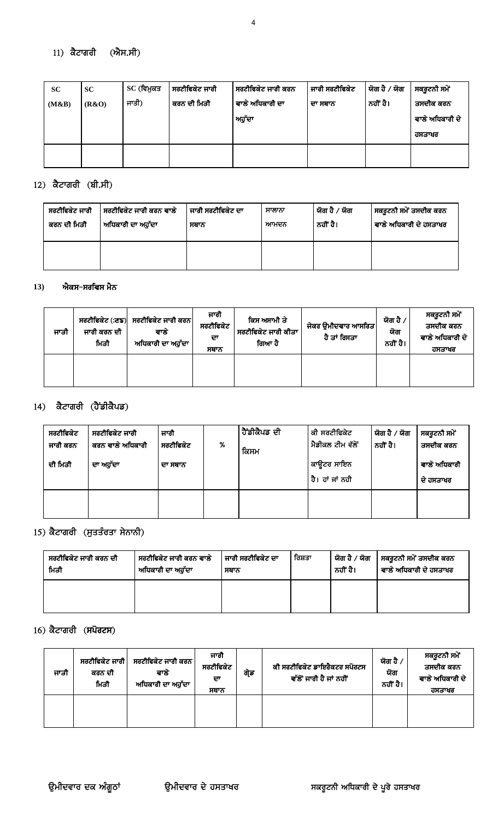### $11)$  ਕੈਟਾਗਰੀ  $(\mathbf{\hat{M}H,H})$

| <b>SC</b> | <b>SC</b> | SC (ਵਿਮੁਕਤ | । ਸਰਟੀਫਿਕੇਟ ਜਾਰੀ | । ਸਰਟੀਫਿਕੇਟ ਜਾਰੀ ਕਰਨ | ਜਾਰੀ ਸਰਟੀਫਿਕੇਟ | ∣ ਯੋਗ ਹੈ  ⁄ ਯੋਗ | ਸਕਰੂਟਨੀ ਸਮੇਂ    |
|-----------|-----------|------------|------------------|----------------------|----------------|-----------------|-----------------|
| (M&B)     | (R&O)     | ਜਾਤੀ)      | ਕਰਨ ਦੀ ਮਿਤੀ      | ਵਾਲੇ ਅਧਿਕਾਰੀ ਦਾ      | ਦਾ ਸਥਾਨ        | ਨਹੀਂ ਹੈ।        | ਤਸਦੀਕ ਕਰਨ       |
|           |           |            |                  | ਅਹੁੱਦਾ               |                |                 | ਵਾਲੇ ਅਧਿਕਾਰੀ ਦੇ |
|           |           |            |                  |                      |                |                 | ਹਸਤਾਖਰ          |
|           |           |            |                  |                      |                |                 |                 |
|           |           |            |                  |                      |                |                 |                 |

### 12) ਕੈਟਾਗਰੀ (ਬੀ.ਸੀ)

| ਸਰਟੀਫਿਕੇਟ ਜਾਰੀ | ਸਰਟੀਫਿਕੇਟ ਜਾਰੀ ਕਰਨ ਵਾਲੇ        | ' ਜਾਰੀ ਸਰਟੀਫਿਕੇਟ ਦਾ | ਸਾਲਾਨਾ | ਯੋਗ ਹੈ ∕ ਯੋਗ | ਸਕਰੂਟਨੀ ਸਮੇਂ ਤਸਦੀਕ ਕਰਨ |
|----------------|--------------------------------|---------------------|--------|--------------|------------------------|
| ਕਰਨ ਦੀ ਮਿਤੀ    | <sup>।</sup> ਅਧਿਕਾਰੀ ਦਾ ਅਹੁੱਦਾ | ਸਥਾਨ                | ਆਮਦਨ   | ਨਹੀਂ ਹੈ।     | ਵਾਲੇ ਅਧਿਕਾਰੀ ਦੇ ਹਸਤਾਖਰ |
|                |                                |                     |        |              |                        |

#### ਐਕਸ−ਸਰਵਿਸ ਮੈਨ  $13)$

| ਜਾਤੀ | ਜਾਰੀ ਕਰਨ ਦੀ<br>ਮਿਤੀ | ਸਰਟੀਫਿਕੇਟ (:ਣਙ) ਸਰਟੀਫਿਕੇਟ ਜਾਰੀ ਕਰਨ<br>ਵਾਲ<br>ਅਧਿਕਾਰੀ ਦਾ ਅਹੁੱਦਾ | ਜਾਰੀ<br>ਸਰਟੀਫਿਕੇਟ<br>ਦਾ<br>ਸਥਾਨ | ਕਿਸ ਅਸਾਮੀ ਤੇ<br>ਸਰਟੀਫਿਕੇਟ ਜਾਰੀ ਕੀਤਾ<br>ਗਿਆ ਹੈ | ਜੇਕਰ ਉਮੀਦਵਾਰ ਆਸਰਿਤ $\vert$<br>ਹੈ ਤਾਂ ਰਿਸਤਾ | ਯੋਗ ਹੈ /<br>ਯੋਗ<br>ਨਹੀਂ ਹੈ। | ਸਕਰੂਟਨੀ ਸਮੇਂ<br>ਤਸਦੀਕ ਕਰਨ<br>ਵਾਲੇ ਅਧਿਕਾਰੀ ਦੇ<br>ਹਸਤਾਖਰ |
|------|---------------------|----------------------------------------------------------------|---------------------------------|-----------------------------------------------|--------------------------------------------|-----------------------------|--------------------------------------------------------|
|      |                     |                                                                |                                 |                                               |                                            |                             |                                                        |

### $14)$  ਕੈਟਾਗਰੀ (ਹੈਂਡੀਕੈਪਡ)

| ਸਰਟੀਫਿਕੇਟ<br>ਜਾਰੀ ਕਰਨ | ਸਰਟੀਫਿਕੇਟ ਜਾਰੀ<br>ਕਰਨ ਵਾਲੇ ਅਧਿਕਾਰੀ | ਜਾਰੀ<br>ਸਰਟੀਫਿਕੇਟ | % | ,ਹੈਂਡੀਕੈਪਡ ਦੀ<br>ਕਿਸਮ | ਕੀ ਸਰਟੀਫਿਕੇਟ<br> ਮੈਡੀਕਲ ਟੀਮ ਵੱਲੋਂ' | ਯੋਗ ਹੈ ∕ ਯੋਗ<br>ਨਹੀਂ ਹੈ। | ਸਕਰੂਟਨੀ ਸਮੇਂ<br>ਤਸਦੀਕ ਕਰਨ |
|-----------------------|------------------------------------|-------------------|---|-----------------------|------------------------------------|--------------------------|---------------------------|
| ਦੀ ਮਿਤੀ               | ਦਾ ਅਹੁੱਦਾ                          | ਦਾ ਸਥਾਨ           |   |                       | ਕਾਉਟਰ ਸਾਇਨ<br>ਹੈ। ਹਾਂ ਜਾਂ ਨਹੀ      |                          | ਵਾਲੇ ਅਧਿਕਾਰੀ<br>ਦੇ ਹਸਤਾਖਰ |
|                       |                                    |                   |   |                       |                                    |                          |                           |

## 15) ਕੈਟਾਗਰੀ (ਸੁਤਤੰਰਤਾ ਸੇਨਾਨੀ)

| ਸਰਟੀਫਿਕੇਟ ਜਾਰੀ ਕਰਨ ਦੀ<br>ਸਰਟੀਫਿਕੇਟ ਜਾਰੀ ਕਰਨ ਵਾਲੇ<br>ਮਿਤੀ<br>ਅਧਿਕਾਰੀ ਦਾ ਅਹੁੱਦਾ |  | ਜਾਰੀ ਸਰਟੀਫਿਕੇਟ ਦਾ<br>ਸਥਾਨ | ਰਿਸ਼ਤਾ | ਯੋਗ ਹੈ ∕ ਯੋਗ<br>ਨਹੀਂ ਹੈ। | ਸਕਰੂਟਨੀ ਸਮੇਂ ਤਸਦੀਕ ਕਰਨ<br>ਵਾਲੇ ਅਧਿਕਾਰੀ ਦੇ ਹਸਤਾਖਰ |  |
|-------------------------------------------------------------------------------|--|---------------------------|--------|--------------------------|--------------------------------------------------|--|
|                                                                               |  |                           |        |                          |                                                  |  |

### $16)$  ਕੈਟਾਗਰੀ (ਸਪੋਰਟਸ)

| ਜਾਤੀ | ਸਰਟੀਫਿਕੇਟ ਜਾਰੀ <sup>।</sup><br>ਕਰਨ ਦੀ<br>ਮਿਤੀ | ਸਰਟੀਫਿਕੇਟ ਜਾਰੀ ਕਰਨ<br>ਵਾਲ<br>ਅਧਿਕਾਰੀ ਦਾ ਅਹੁੱਦਾ | ਜਾਰੀ<br>ਸਰਟੀਫਿਕੇਟ<br>ਦਾ<br>ਸਥਾਨ | ਗ੍ਰੇਡ | ਕੀ ਸਰਟੀਫਿਕੇਟ ਡਾਇਰੈਕਟਰ ਸਪੋਰਟਸ<br>ਵੱਲੋਂ ਜਾਰੀ ਹੈ ਜਾਂ ਨਹੀਂ | ਯੋਗ ਹੈ ,<br>ਯੋਗ<br>ਨਹੀਂ ਹੈ। | ਸਕਰੂਟਨੀ ਸਮੇਂ<br>ਤਸਦੀਕ ਕਰਨ<br>ਵਾਲੇ ਅਧਿਕਾਰੀ ਦੇ<br>ਹਸਤਾਖਰ |
|------|-----------------------------------------------|------------------------------------------------|---------------------------------|-------|--------------------------------------------------------|-----------------------------|--------------------------------------------------------|
|      |                                               |                                                |                                 |       |                                                        |                             |                                                        |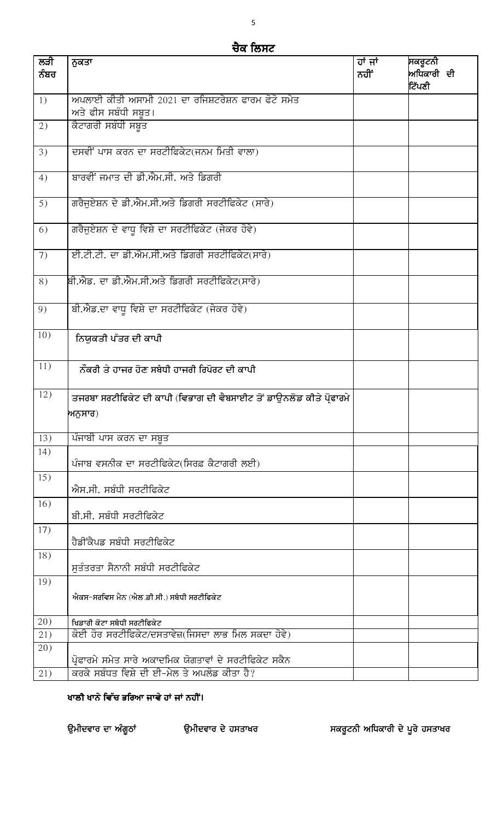## ਚੈਕ ਲਿਸਟ

| ਲੜੀ<br>ਨੰਬਰ | ਨੁਕਤਾ                                                                      | ਹਾਂ ਜਾਂ<br>ਨਹੀਂ | ਸਕਰੂਟਨੀ<br>ਅਧਿਕਾਰੀ ਦੀ |
|-------------|----------------------------------------------------------------------------|-----------------|-----------------------|
|             |                                                                            |                 | ਟਿੱਪਣੀ                |
| 1)          | ਅਪਲਾਈ ਕੀਤੀ ਅਸਾਮੀ 2021 ਦਾ ਰਜਿਸ਼ਟਰੇਸ਼ਨ ਫਾਰਮ ਫੋਟੋ ਸਮੇਤ<br>ਅਤੇ ਫੀਸ ਸਬੰਧੀ ਸਬੂਤ। |                 |                       |
| 2)          | ਕੈਟਾਗਰੀ ਸਬੰਧੀ ਸਬੂਤ                                                         |                 |                       |
| 3)          | ਦਸਵੀਂ ਪਾਸ ਕਰਨ ਦਾ ਸਰਟੀਫਿਕੇਟ(ਜਨਮ ਮਿਤੀ ਵਾਲਾ)                                  |                 |                       |
| 4)          | ਬਾਰਵੀਂ ਜਮਾਤ ਦੀ ਡੀ.ਐਮ.ਸੀ. ਅਤੇ ਡਿਗਰੀ                                         |                 |                       |
| 5)          | ਗਰੈਜੂਏਸ਼ਨ ਦੇ ਡੀ.ਐਮ.ਸੀ.ਅਤੇ ਡਿਗਰੀ ਸਰਟੀਫਿਕੇਟ (ਸਾਰੇ)                           |                 |                       |
| 6)          | ਗਰੈਜੂਏਸ਼ਨ ਦੇ ਵਾਧੂ ਵਿਸ਼ੇ ਦਾ ਸਰਟੀਫਿਕੇਟ (ਜੇਕਰ ਹੋਵੇ)                           |                 |                       |
| 7)          | ਈ.ਟੀ.ਟੀ. ਦਾ ਡੀ.ਐਮ.ਸੀ.ਅਤੇ ਡਿਗਰੀ ਸਰਟੀਫਿਕੇਟ(ਸਾਰੇ)                             |                 |                       |
| 8)          | ਬੀ.ਐਡ. ਦਾ ਡੀ.ਐਮ.ਸੀ.ਅਤੇ ਡਿਗਰੀ ਸਰਟੀਫਿਕੇਟ(ਸਾਰੇ)                               |                 |                       |
| 9)          | ਬੀ.ਐਡ.ਦਾ ਵਾਧੂ ਵਿਸ਼ੇ ਦਾ ਸਰਟੀਫਿਕੇਟ (ਜੇਕਰ ਹੋਵੇ)                               |                 |                       |
| 10)         | ਨਿਯੁਕਤੀ ਪੱਤਰ ਦੀ ਕਾਪੀ                                                       |                 |                       |
| 11)         | ਨੌਕਰੀ ਤੇ ਹਾਜਰ ਹੋਣ ਸਬੰਧੀ ਹਾਜਰੀ ਰਿਪੋਰਟ ਦੀ ਕਾਪੀ                               |                 |                       |
| 12)         | ਤਜਰਬਾ ਸਰਟੀਫਿਕੇਟ ਦੀ ਕਾਪੀ (ਵਿਭਾਗ ਦੀ ਵੈਬਸਾਈਟ ਤੋਂ ਡਾਊਨਲੋਡ ਕੀਤੇ ਪ੍ਰੋਫਾਰਮੇ       |                 |                       |
|             | ਅਨੁਸਾਰ)                                                                    |                 |                       |
| 13)         | ਪੰਜਾਬੀ ਪਾਸ ਕਰਨ ਦਾ ਸਬੂਤ                                                     |                 |                       |
| 14)         | ਪੰਜਾਬ ਵਸਨੀਕ ਦਾ ਸਰਟੀਫਿਕੇਟ(ਸਿਰਫ਼ ਕੈਟਾਗਰੀ ਲਈ)                                 |                 |                       |
| 15)         | ਐਸ.ਸੀ. ਸਬੰਧੀ ਸਰਟੀਫਿਕੇਟ                                                     |                 |                       |
| 16)         | ਬੀ.ਸੀ. ਸਬੰਧੀ ਸਰਟੀਫਿਕੇਟ                                                     |                 |                       |
| 17)         | ਹੈਡੀਂਕੈਪਡ ਸਬੰਧੀ ਸਰਟੀਫਿਕੇਟ                                                  |                 |                       |
| 18)         | ਸੁਤੰਤਰਤਾ ਸੈਨਾਨੀ ਸਬੰਧੀ ਸਰਟੀਫਿਕੇਟ                                            |                 |                       |
| 19)         |                                                                            |                 |                       |
|             | ਐਕਸ–ਸਰਵਿਸ ਮੈਨ (ਐਲ.ਡੀ.ਸੀ.) ਸਬੰਧੀ ਸਰਟੀਫਿਕੇਟ                                  |                 |                       |
| 20)         | ਖਿਡਾਰੀ ਕੋਟਾ ਸਬੰਧੀ ਸਰਟੀਫਿਕੇਟ                                                |                 |                       |
| 21)         | ਕੋਈ ਹੋਰ ਸਰਟੀਫਿਕੇਟ/ਦਸਤਾਵੇਜ਼(ਜਿਸਦਾ ਲਾਭ ਮਿਲ ਸਕਦਾ ਹੋਵੇ)                        |                 |                       |
| 20)         | ਪ੍ਰੋਫਾਰਮੇ ਸਮੇਤ ਸਾਰੇ ਅਕਾਦਮਿਕ ਯੋਗਤਾਵਾਂ ਦੇ ਸਰਟੀਫਿਕੇਟ ਸਕੈਨ                     |                 |                       |
| 21)         | ਕਰਕੇ ਸਬੰਧਤ ਵਿਸ਼ੇ ਦੀ ਈ-ਮੇਲ ਤੇ ਅਪਲੋਡ ਕੀਤਾ ਹੈ?                                |                 |                       |

### ਖਾਲੀ ਖਾਨੇ ਵਿੱਚ ਭਰਿਆ ਜਾਵੇ ਹਾਂ ਜਾਂ ਨਹੀਂ।

ਉਮੀਦਵਾਰ ਦਾ ਅੰਗੂਠਾਂ ਉਮੀਦਵਾਰ ਦੇ ਹਸਤਾਖਰ

ਸਕਰੂਟਨੀ ਅਧਿਕਾਰੀ ਦੇ ਪੂਰੇ ਹਸਤਾਖਰ